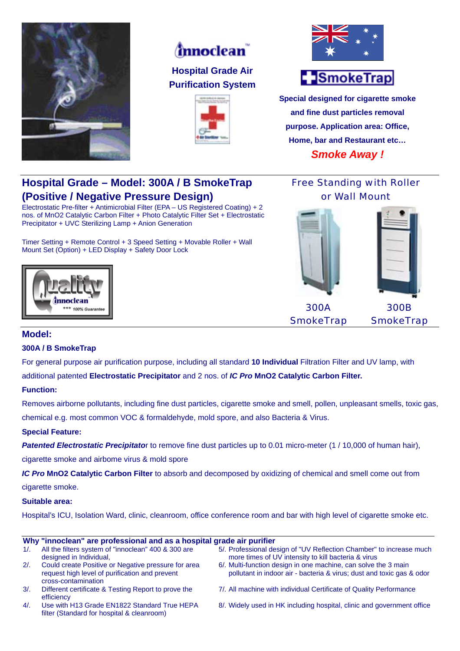

# *(mnoclean*)

**Hospital Grade Air Purification System** 





# -SmokeTrap

**Special designed for cigarette smoke and fine dust particles removal purpose. Application area: Office, Home, bar and Restaurant etc…**  *Smoke Away !* 

## **Hospital Grade – Model: 300A / B SmokeTrap (Positive / Negative Pressure Design)**

Electrostatic Pre-filter + Antimicrobial Filter (EPA – US Registered Coating) + 2 nos. of MnO2 Catalytic Carbon Filter + Photo Catalytic Filter Set + Electrostatic Precipitator + UVC Sterilizing Lamp + Anion Generation

Timer Setting + Remote Control + 3 Speed Setting + Movable Roller + Wall Mount Set (Option) + LED Display + Safety Door Lock



Free Standing with Roller or Wall Mount



300A **SmokeTrap** 

300B **SmokeTrap** 

### **Model:**

#### **300A / B SmokeTrap**

For general purpose air purification purpose, including all standard **10 Individual** Filtration Filter and UV lamp, with

additional patented **Electrostatic Precipitator** and 2 nos. of *IC Pro* **MnO2 Catalytic Carbon Filter.**

#### **Function:**

Removes airborne pollutants, including fine dust particles, cigarette smoke and smell, pollen, unpleasant smells, toxic gas, chemical e.g. most common VOC & formaldehyde, mold spore, and also Bacteria & Virus.

#### **Special Feature:**

**Patented Electrostatic Precipitato**r to remove fine dust particles up to 0.01 micro-meter (1/10,000 of human hair),

cigarette smoke and airbome virus & mold spore

*IC Pro* **MnO2 Catalytic Carbon Filter** to absorb and decomposed by oxidizing of chemical and smell come out from

cigarette smoke.

#### **Suitable area:**

Hospital's ICU, Isolation Ward, clinic, cleanroom, office conference room and bar with high level of cigarette smoke etc.

#### **Why "innoclean" are professional and as a hospital grade air purifier**  1/. All the filters system of "innoclean" 400 & 300 are designed in Individual. 5/. Professional design of "UV Reflection Chamber" to increase much more times of UV intensity to kill bacteria & virus 2/. Could create Positive or Negative pressure for area request high level of purification and prevent cross-contamination 6/. Multi-function design in one machine, can solve the 3 main pollutant in indoor air - bacteria & virus; dust and toxic gas & odor 3/. Different certificate & Testing Report to prove the efficiency 7/. All machine with individual Certificate of Quality Performance 4/. Use with H13 Grade EN1822 Standard True HEPA filter (Standard for hospital & cleanroom) 8/. Widely used in HK including hospital, clinic and government office